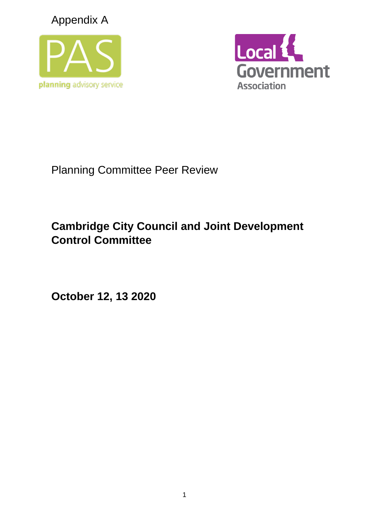Appendix A





Planning Committee Peer Review

# **Cambridge City Council and Joint Development Control Committee**

**October 12, 13 2020**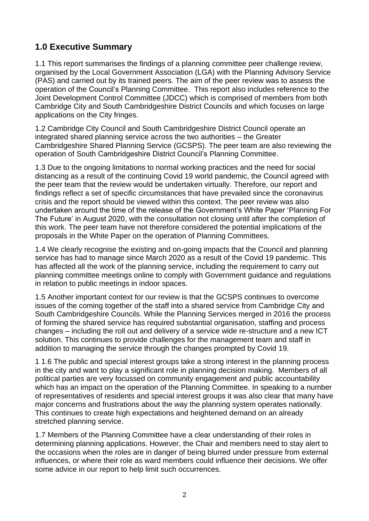# **1.0 Executive Summary**

1.1 This report summarises the findings of a planning committee peer challenge review, organised by the Local Government Association (LGA) with the Planning Advisory Service (PAS) and carried out by its trained peers. The aim of the peer review was to assess the operation of the Council's Planning Committee. This report also includes reference to the Joint Development Control Committee (JDCC) which is comprised of members from both Cambridge City and South Cambridgeshire District Councils and which focuses on large applications on the City fringes.

1.2 Cambridge City Council and South Cambridgeshire District Council operate an integrated shared planning service across the two authorities – the Greater Cambridgeshire Shared Planning Service (GCSPS). The peer team are also reviewing the operation of South Cambridgeshire District Council's Planning Committee.

1.3 Due to the ongoing limitations to normal working practices and the need for social distancing as a result of the continuing Covid 19 world pandemic, the Council agreed with the peer team that the review would be undertaken virtually. Therefore, our report and findings reflect a set of specific circumstances that have prevailed since the coronavirus crisis and the report should be viewed within this context. The peer review was also undertaken around the time of the release of the Government's White Paper 'Planning For The Future' in August 2020, with the consultation not closing until after the completion of this work. The peer team have not therefore considered the potential implications of the proposals in the White Paper on the operation of Planning Committees.

1.4 We clearly recognise the existing and on-going impacts that the Council and planning service has had to manage since March 2020 as a result of the Covid 19 pandemic. This has affected all the work of the planning service, including the requirement to carry out planning committee meetings online to comply with Government guidance and regulations in relation to public meetings in indoor spaces.

1.5 Another important context for our review is that the GCSPS continues to overcome issues of the coming together of the staff into a shared service from Cambridge City and South Cambridgeshire Councils. While the Planning Services merged in 2016 the process of forming the shared service has required substantial organisation, staffing and process changes – including the roll out and delivery of a service wide re-structure and a new ICT solution. This continues to provide challenges for the management team and staff in addition to managing the service through the changes prompted by Covid 19.

1 1.6 The public and special interest groups take a strong interest in the planning process in the city and want to play a significant role in planning decision making. Members of all political parties are very focussed on community engagement and public accountability which has an impact on the operation of the Planning Committee. In speaking to a number of representatives of residents and special interest groups it was also clear that many have major concerns and frustrations about the way the planning system operates nationally. This continues to create high expectations and heightened demand on an already stretched planning service.

1.7 Members of the Planning Committee have a clear understanding of their roles in determining planning applications. However, the Chair and members need to stay alert to the occasions when the roles are in danger of being blurred under pressure from external influences, or where their role as ward members could influence their decisions. We offer some advice in our report to help limit such occurrences.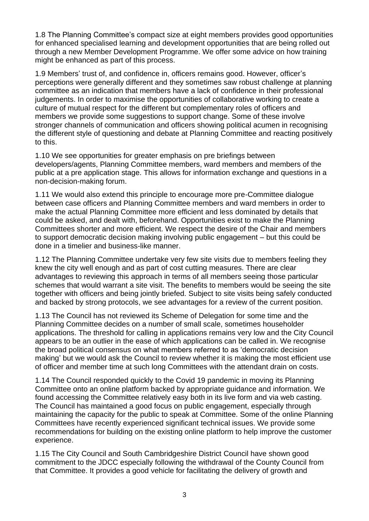1.8 The Planning Committee's compact size at eight members provides good opportunities for enhanced specialised learning and development opportunities that are being rolled out through a new Member Development Programme. We offer some advice on how training might be enhanced as part of this process.

1.9 Members' trust of, and confidence in, officers remains good. However, officer's perceptions were generally different and they sometimes saw robust challenge at planning committee as an indication that members have a lack of confidence in their professional judgements. In order to maximise the opportunities of collaborative working to create a culture of mutual respect for the different but complementary roles of officers and members we provide some suggestions to support change. Some of these involve stronger channels of communication and officers showing political acumen in recognising the different style of questioning and debate at Planning Committee and reacting positively to this.

1.10 We see opportunities for greater emphasis on pre briefings between developers/agents, Planning Committee members, ward members and members of the public at a pre application stage. This allows for information exchange and questions in a non-decision-making forum.

1.11 We would also extend this principle to encourage more pre-Committee dialogue between case officers and Planning Committee members and ward members in order to make the actual Planning Committee more efficient and less dominated by details that could be asked, and dealt with, beforehand. Opportunities exist to make the Planning Committees shorter and more efficient. We respect the desire of the Chair and members to support democratic decision making involving public engagement – but this could be done in a timelier and business-like manner.

1.12 The Planning Committee undertake very few site visits due to members feeling they knew the city well enough and as part of cost cutting measures. There are clear advantages to reviewing this approach in terms of all members seeing those particular schemes that would warrant a site visit. The benefits to members would be seeing the site together with officers and being jointly briefed. Subject to site visits being safely conducted and backed by strong protocols, we see advantages for a review of the current position.

1.13 The Council has not reviewed its Scheme of Delegation for some time and the Planning Committee decides on a number of small scale, sometimes householder applications. The threshold for calling in applications remains very low and the City Council appears to be an outlier in the ease of which applications can be called in. We recognise the broad political consensus on what members referred to as 'democratic decision making' but we would ask the Council to review whether it is making the most efficient use of officer and member time at such long Committees with the attendant drain on costs.

1.14 The Council responded quickly to the Covid 19 pandemic in moving its Planning Committee onto an online platform backed by appropriate guidance and information. We found accessing the Committee relatively easy both in its live form and via web casting. The Council has maintained a good focus on public engagement, especially through maintaining the capacity for the public to speak at Committee. Some of the online Planning Committees have recently experienced significant technical issues. We provide some recommendations for building on the existing online platform to help improve the customer experience.

1.15 The City Council and South Cambridgeshire District Council have shown good commitment to the JDCC especially following the withdrawal of the County Council from that Committee. It provides a good vehicle for facilitating the delivery of growth and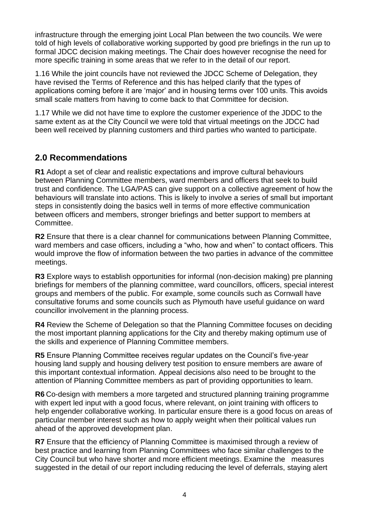infrastructure through the emerging joint Local Plan between the two councils. We were told of high levels of collaborative working supported by good pre briefings in the run up to formal JDCC decision making meetings. The Chair does however recognise the need for more specific training in some areas that we refer to in the detail of our report.

1.16 While the joint councils have not reviewed the JDCC Scheme of Delegation, they have revised the Terms of Reference and this has helped clarify that the types of applications coming before it are 'major' and in housing terms over 100 units. This avoids small scale matters from having to come back to that Committee for decision.

1.17 While we did not have time to explore the customer experience of the JDDC to the same extent as at the City Council we were told that virtual meetings on the JDCC had been well received by planning customers and third parties who wanted to participate.

# **2.0 Recommendations**

**R1** Adopt a set of clear and realistic expectations and improve cultural behaviours between Planning Committee members, ward members and officers that seek to build trust and confidence. The LGA/PAS can give support on a collective agreement of how the behaviours will translate into actions. This is likely to involve a series of small but important steps in consistently doing the basics well in terms of more effective communication between officers and members, stronger briefings and better support to members at Committee.

**R2** Ensure that there is a clear channel for communications between Planning Committee, ward members and case officers, including a "who, how and when" to contact officers. This would improve the flow of information between the two parties in advance of the committee meetings.

**R3** Explore ways to establish opportunities for informal (non-decision making) pre planning briefings for members of the planning committee, ward councillors, officers, special interest groups and members of the public. For example, some councils such as Cornwall have consultative forums and some councils such as Plymouth have useful guidance on ward councillor involvement in the planning process.

**R4** Review the Scheme of Delegation so that the Planning Committee focuses on deciding the most important planning applications for the City and thereby making optimum use of the skills and experience of Planning Committee members.

**R5** Ensure Planning Committee receives regular updates on the Council's five-year housing land supply and housing delivery test position to ensure members are aware of this important contextual information. Appeal decisions also need to be brought to the attention of Planning Committee members as part of providing opportunities to learn.

**R6** Co-design with members a more targeted and structured planning training programme with expert led input with a good focus, where relevant, on joint training with officers to help engender collaborative working. In particular ensure there is a good focus on areas of particular member interest such as how to apply weight when their political values run ahead of the approved development plan.

**R7** Ensure that the efficiency of Planning Committee is maximised through a review of best practice and learning from Planning Committees who face similar challenges to the City Council but who have shorter and more efficient meetings. Examine the measures suggested in the detail of our report including reducing the level of deferrals, staying alert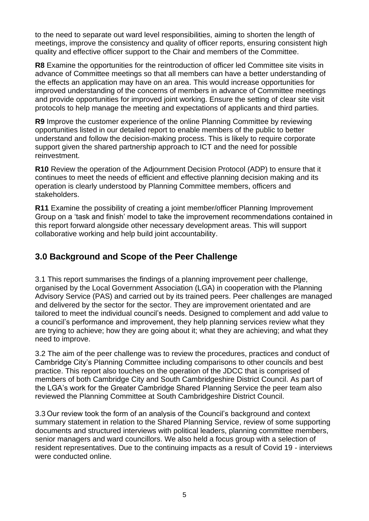to the need to separate out ward level responsibilities, aiming to shorten the length of meetings, improve the consistency and quality of officer reports, ensuring consistent high quality and effective officer support to the Chair and members of the Committee.

**R8** Examine the opportunities for the reintroduction of officer led Committee site visits in advance of Committee meetings so that all members can have a better understanding of the effects an application may have on an area. This would increase opportunities for improved understanding of the concerns of members in advance of Committee meetings and provide opportunities for improved joint working. Ensure the setting of clear site visit protocols to help manage the meeting and expectations of applicants and third parties.

**R9** Improve the customer experience of the online Planning Committee by reviewing opportunities listed in our detailed report to enable members of the public to better understand and follow the decision-making process. This is likely to require corporate support given the shared partnership approach to ICT and the need for possible reinvestment.

**R10** Review the operation of the Adjournment Decision Protocol (ADP) to ensure that it continues to meet the needs of efficient and effective planning decision making and its operation is clearly understood by Planning Committee members, officers and stakeholders.

**R11** Examine the possibility of creating a joint member/officer Planning Improvement Group on a 'task and finish' model to take the improvement recommendations contained in this report forward alongside other necessary development areas. This will support collaborative working and help build joint accountability.

# **3.0 Background and Scope of the Peer Challenge**

3.1 This report summarises the findings of a planning improvement peer challenge, organised by the Local Government Association (LGA) in cooperation with the Planning Advisory Service (PAS) and carried out by its trained peers. Peer challenges are managed and delivered by the sector for the sector. They are improvement orientated and are tailored to meet the individual council's needs. Designed to complement and add value to a council's performance and improvement, they help planning services review what they are trying to achieve; how they are going about it; what they are achieving; and what they need to improve.

3.2 The aim of the peer challenge was to review the procedures, practices and conduct of Cambridge City's Planning Committee including comparisons to other councils and best practice. This report also touches on the operation of the JDCC that is comprised of members of both Cambridge City and South Cambridgeshire District Council. As part of the LGA's work for the Greater Cambridge Shared Planning Service the peer team also reviewed the Planning Committee at South Cambridgeshire District Council.

3.3 Our review took the form of an analysis of the Council's background and context summary statement in relation to the Shared Planning Service, review of some supporting documents and structured interviews with political leaders, planning committee members, senior managers and ward councillors. We also held a focus group with a selection of resident representatives. Due to the continuing impacts as a result of Covid 19 - interviews were conducted online.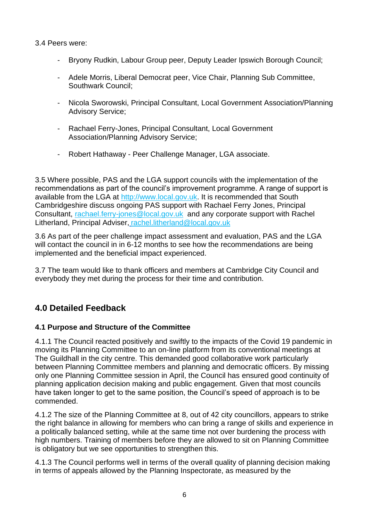3.4 Peers were:

- Bryony Rudkin, Labour Group peer, Deputy Leader Ipswich Borough Council;
- Adele Morris, Liberal Democrat peer, Vice Chair, Planning Sub Committee, Southwark Council;
- Nicola Sworowski, Principal Consultant, Local Government Association/Planning Advisory Service;
- Rachael Ferry-Jones, Principal Consultant, Local Government Association/Planning Advisory Service;
- Robert Hathaway Peer Challenge Manager, LGA associate.

3.5 Where possible, PAS and the LGA support councils with the implementation of the recommendations as part of the council's improvement programme. A range of support is available from the LGA at [http://www.local.gov.uk.](http://www.local.gov.uk/) It is recommended that South Cambridgeshire discuss ongoing PAS support with Rachael Ferry Jones, Principal Consultant, [rachael.ferry-jones@local.gov.uk](mailto:rachael.ferry-jones@local.gov.uk) and any corporate support with Rachel Litherland, Principal Adviser, [rachel.litherland@local.gov.uk](mailto:rachel.litherland@local.gov.uk)

3.6 As part of the peer challenge impact assessment and evaluation, PAS and the LGA will contact the council in in 6-12 months to see how the recommendations are being implemented and the beneficial impact experienced.

3.7 The team would like to thank officers and members at Cambridge City Council and everybody they met during the process for their time and contribution.

# **4.0 Detailed Feedback**

## **4.1 Purpose and Structure of the Committee**

4.1.1 The Council reacted positively and swiftly to the impacts of the Covid 19 pandemic in moving its Planning Committee to an on-line platform from its conventional meetings at The Guildhall in the city centre. This demanded good collaborative work particularly between Planning Committee members and planning and democratic officers. By missing only one Planning Committee session in April, the Council has ensured good continuity of planning application decision making and public engagement. Given that most councils have taken longer to get to the same position, the Council's speed of approach is to be commended.

4.1.2 The size of the Planning Committee at 8, out of 42 city councillors, appears to strike the right balance in allowing for members who can bring a range of skills and experience in a politically balanced setting, while at the same time not over burdening the process with high numbers. Training of members before they are allowed to sit on Planning Committee is obligatory but we see opportunities to strengthen this.

4.1.3 The Council performs well in terms of the overall quality of planning decision making in terms of appeals allowed by the Planning Inspectorate, as measured by the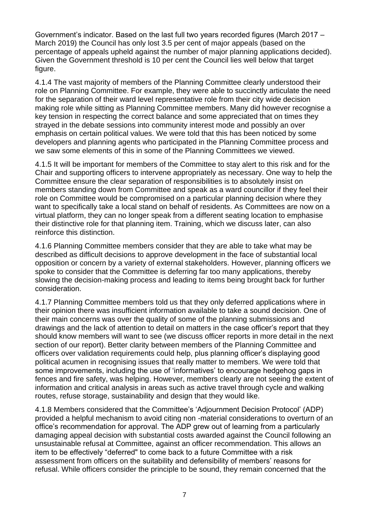Government's indicator. Based on the last full two years recorded figures (March 2017 – March 2019) the Council has only lost 3.5 per cent of major appeals (based on the percentage of appeals upheld against the number of major planning applications decided). Given the Government threshold is 10 per cent the Council lies well below that target figure.

4.1.4 The vast majority of members of the Planning Committee clearly understood their role on Planning Committee. For example, they were able to succinctly articulate the need for the separation of their ward level representative role from their city wide decision making role while sitting as Planning Committee members. Many did however recognise a key tension in respecting the correct balance and some appreciated that on times they strayed in the debate sessions into community interest mode and possibly an over emphasis on certain political values. We were told that this has been noticed by some developers and planning agents who participated in the Planning Committee process and we saw some elements of this in some of the Planning Committees we viewed.

4.1.5 It will be important for members of the Committee to stay alert to this risk and for the Chair and supporting officers to intervene appropriately as necessary. One way to help the Committee ensure the clear separation of responsibilities is to absolutely insist on members standing down from Committee and speak as a ward councillor if they feel their role on Committee would be compromised on a particular planning decision where they want to specifically take a local stand on behalf of residents. As Committees are now on a virtual platform, they can no longer speak from a different seating location to emphasise their distinctive role for that planning item. Training, which we discuss later, can also reinforce this distinction.

4.1.6 Planning Committee members consider that they are able to take what may be described as difficult decisions to approve development in the face of substantial local opposition or concern by a variety of external stakeholders. However, planning officers we spoke to consider that the Committee is deferring far too many applications, thereby slowing the decision-making process and leading to items being brought back for further consideration.

4.1.7 Planning Committee members told us that they only deferred applications where in their opinion there was insufficient information available to take a sound decision. One of their main concerns was over the quality of some of the planning submissions and drawings and the lack of attention to detail on matters in the case officer's report that they should know members will want to see (we discuss officer reports in more detail in the next section of our report). Better clarity between members of the Planning Committee and officers over validation requirements could help, plus planning officer's displaying good political acumen in recognising issues that really matter to members. We were told that some improvements, including the use of 'informatives' to encourage hedgehog gaps in fences and fire safety, was helping. However, members clearly are not seeing the extent of information and critical analysis in areas such as active travel through cycle and walking routes, refuse storage, sustainability and design that they would like.

4.1.8 Members considered that the Committee's 'Adjournment Decision Protocol' (ADP) provided a helpful mechanism to avoid citing non -material considerations to overturn of an office's recommendation for approval. The ADP grew out of learning from a particularly damaging appeal decision with substantial costs awarded against the Council following an unsustainable refusal at Committee, against an officer recommendation. This allows an item to be effectively "deferred" to come back to a future Committee with a risk assessment from officers on the suitability and defensibility of members' reasons for refusal. While officers consider the principle to be sound, they remain concerned that the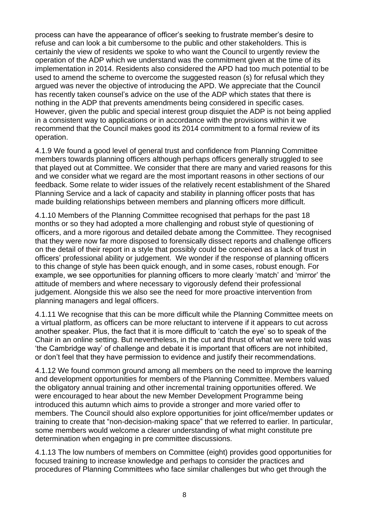process can have the appearance of officer's seeking to frustrate member's desire to refuse and can look a bit cumbersome to the public and other stakeholders. This is certainly the view of residents we spoke to who want the Council to urgently review the operation of the ADP which we understand was the commitment given at the time of its implementation in 2014. Residents also considered the APD had too much potential to be used to amend the scheme to overcome the suggested reason (s) for refusal which they argued was never the objective of introducing the APD. We appreciate that the Council has recently taken counsel's advice on the use of the ADP which states that there is nothing in the ADP that prevents amendments being considered in specific cases. However, given the public and special interest group disquiet the ADP is not being applied in a consistent way to applications or in accordance with the provisions within it we recommend that the Council makes good its 2014 commitment to a formal review of its operation.

4.1.9 We found a good level of general trust and confidence from Planning Committee members towards planning officers although perhaps officers generally struggled to see that played out at Committee. We consider that there are many and varied reasons for this and we consider what we regard are the most important reasons in other sections of our feedback. Some relate to wider issues of the relatively recent establishment of the Shared Planning Service and a lack of capacity and stability in planning officer posts that has made building relationships between members and planning officers more difficult.

4.1.10 Members of the Planning Committee recognised that perhaps for the past 18 months or so they had adopted a more challenging and robust style of questioning of officers, and a more rigorous and detailed debate among the Committee. They recognised that they were now far more disposed to forensically dissect reports and challenge officers on the detail of their report in a style that possibly could be conceived as a lack of trust in officers' professional ability or judgement. We wonder if the response of planning officers to this change of style has been quick enough, and in some cases, robust enough. For example, we see opportunities for planning officers to more clearly 'match' and 'mirror' the attitude of members and where necessary to vigorously defend their professional judgement. Alongside this we also see the need for more proactive intervention from planning managers and legal officers.

4.1.11 We recognise that this can be more difficult while the Planning Committee meets on a virtual platform, as officers can be more reluctant to intervene if it appears to cut across another speaker. Plus, the fact that it is more difficult to 'catch the eye' so to speak of the Chair in an online setting. But nevertheless, in the cut and thrust of what we were told was 'the Cambridge way' of challenge and debate it is important that officers are not inhibited, or don't feel that they have permission to evidence and justify their recommendations.

4.1.12 We found common ground among all members on the need to improve the learning and development opportunities for members of the Planning Committee. Members valued the obligatory annual training and other incremental training opportunities offered. We were encouraged to hear about the new Member Development Programme being introduced this autumn which aims to provide a stronger and more varied offer to members. The Council should also explore opportunities for joint office/member updates or training to create that "non-decision-making space" that we referred to earlier. In particular, some members would welcome a clearer understanding of what might constitute pre determination when engaging in pre committee discussions.

4.1.13 The low numbers of members on Committee (eight) provides good opportunities for focused training to increase knowledge and perhaps to consider the practices and procedures of Planning Committees who face similar challenges but who get through the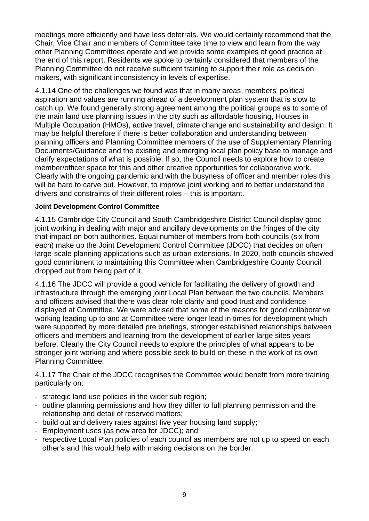meetings more efficiently and have less deferrals. We would certainly recommend that the Chair, Vice Chair and members of Committee take time to view and learn from the way other Planning Committees operate and we provide some examples of good practice at the end of this report. Residents we spoke to certainly considered that members of the Planning Committee do not receive sufficient training to support their role as decision makers, with significant inconsistency in levels of expertise.

4.1.14 One of the challenges we found was that in many areas, members' political aspiration and values are running ahead of a development plan system that is slow to catch up. We found generally strong agreement among the political groups as to some of the main land use planning issues in the city such as affordable housing, Houses in Multiple Occupation (HMOs), active travel, climate change and sustainability and design. It may be helpful therefore if there is better collaboration and understanding between planning officers and Planning Committee members of the use of Supplementary Planning Documents/Guidance and the existing and emerging local plan policy base to manage and clarify expectations of what is possible. If so, the Council needs to explore how to create member/officer space for this and other creative opportunities for collaborative work. Clearly with the ongoing pandemic and with the busyness of officer and member roles this will be hard to carve out. However, to improve joint working and to better understand the drivers and constraints of their different roles – this is important.

#### **Joint Development Control Committee**

4.1.15 Cambridge City Council and South Cambridgeshire District Council display good joint working in dealing with major and ancillary developments on the fringes of the city that impact on both authorities. Equal number of members from both councils (six from each) make up the Joint Development Control Committee (JDCC) that decides on often large-scale planning applications such as urban extensions. In 2020, both councils showed good commitment to maintaining this Committee when Cambridgeshire County Council dropped out from being part of it.

4.1.16 The JDCC will provide a good vehicle for facilitating the delivery of growth and infrastructure through the emerging joint Local Plan between the two councils. Members and officers advised that there was clear role clarity and good trust and confidence displayed at Committee. We were advised that some of the reasons for good collaborative working leading up to and at Committee were longer lead in times for development which were supported by more detailed pre briefings, stronger established relationships between officers and members and learning from the development of earlier large sites years before. Clearly the City Council needs to explore the principles of what appears to be stronger joint working and where possible seek to build on these in the work of its own Planning Committee.

4.1.17 The Chair of the JDCC recognises the Committee would benefit from more training particularly on:

- strategic land use policies in the wider sub region;
- outline planning permissions and how they differ to full planning permission and the relationship and detail of reserved matters;
- build out and delivery rates against five year housing land supply;
- Employment uses (as new area for JDCC); and
- respective Local Plan policies of each council as members are not up to speed on each other's and this would help with making decisions on the border.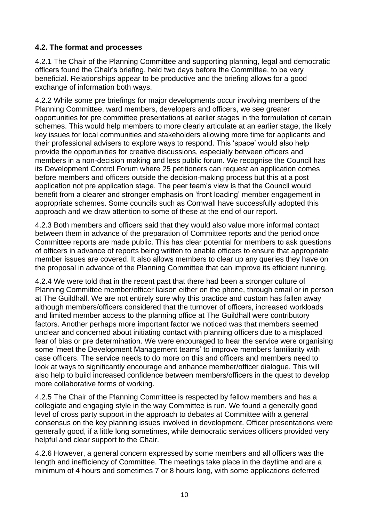## **4.2. The format and processes**

4.2.1 The Chair of the Planning Committee and supporting planning, legal and democratic officers found the Chair's briefing, held two days before the Committee, to be very beneficial. Relationships appear to be productive and the briefing allows for a good exchange of information both ways.

4.2.2 While some pre briefings for major developments occur involving members of the Planning Committee, ward members, developers and officers, we see greater opportunities for pre committee presentations at earlier stages in the formulation of certain schemes. This would help members to more clearly articulate at an earlier stage, the likely key issues for local communities and stakeholders allowing more time for applicants and their professional advisers to explore ways to respond. This 'space' would also help provide the opportunities for creative discussions, especially between officers and members in a non-decision making and less public forum. We recognise the Council has its Development Control Forum where 25 petitioners can request an application comes before members and officers outside the decision-making process but this at a post application not pre application stage. The peer team's view is that the Council would benefit from a clearer and stronger emphasis on 'front loading' member engagement in appropriate schemes. Some councils such as Cornwall have successfully adopted this approach and we draw attention to some of these at the end of our report.

4.2.3 Both members and officers said that they would also value more informal contact between them in advance of the preparation of Committee reports and the period once Committee reports are made public. This has clear potential for members to ask questions of officers in advance of reports being written to enable officers to ensure that appropriate member issues are covered. It also allows members to clear up any queries they have on the proposal in advance of the Planning Committee that can improve its efficient running.

4.2.4 We were told that in the recent past that there had been a stronger culture of Planning Committee member/officer liaison either on the phone, through email or in person at The Guildhall. We are not entirely sure why this practice and custom has fallen away although members/officers considered that the turnover of officers, increased workloads and limited member access to the planning office at The Guildhall were contributory factors. Another perhaps more important factor we noticed was that members seemed unclear and concerned about initiating contact with planning officers due to a misplaced fear of bias or pre determination. We were encouraged to hear the service were organising some 'meet the Development Management teams' to improve members familiarity with case officers. The service needs to do more on this and officers and members need to look at ways to significantly encourage and enhance member/officer dialogue. This will also help to build increased confidence between members/officers in the quest to develop more collaborative forms of working.

4.2.5 The Chair of the Planning Committee is respected by fellow members and has a collegiate and engaging style in the way Committee is run. We found a generally good level of cross party support in the approach to debates at Committee with a general consensus on the key planning issues involved in development. Officer presentations were generally good, if a little long sometimes, while democratic services officers provided very helpful and clear support to the Chair.

4.2.6 However, a general concern expressed by some members and all officers was the length and inefficiency of Committee. The meetings take place in the daytime and are a minimum of 4 hours and sometimes 7 or 8 hours long, with some applications deferred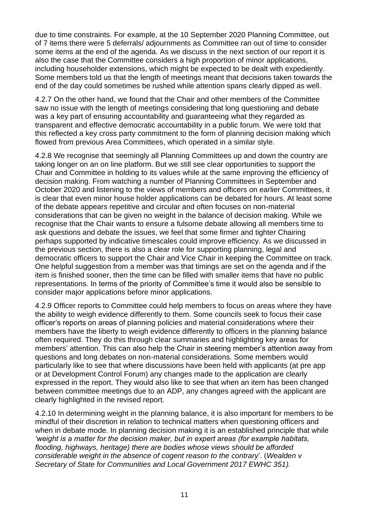due to time constraints. For example, at the 10 September 2020 Planning Committee, out of 7 items there were 5 deferrals/ adjournments as Committee ran out of time to consider some items at the end of the agenda. As we discuss in the next section of our report it is also the case that the Committee considers a high proportion of minor applications, including householder extensions, which might be expected to be dealt with expediently. Some members told us that the length of meetings meant that decisions taken towards the end of the day could sometimes be rushed while attention spans clearly dipped as well.

4.2.7 On the other hand, we found that the Chair and other members of the Committee saw no issue with the length of meetings considering that long questioning and debate was a key part of ensuring accountability and guaranteeing what they regarded as transparent and effective democratic accountability in a public forum. We were told that this reflected a key cross party commitment to the form of planning decision making which flowed from previous Area Committees, which operated in a similar style.

4.2.8 We recognise that seemingly all Planning Committees up and down the country are taking longer on an on line platform. But we still see clear opportunities to support the Chair and Committee in holding to its values while at the same improving the efficiency of decision making. From watching a number of Planning Committees in September and October 2020 and listening to the views of members and officers on earlier Committees, it is clear that even minor house holder applications can be debated for hours. At least some of the debate appears repetitive and circular and often focuses on non-material considerations that can be given no weight in the balance of decision making. While we recognise that the Chair wants to ensure a fulsome debate allowing all members time to ask questions and debate the issues, we feel that some firmer and tighter Chairing perhaps supported by indicative timescales could improve efficiency. As we discussed in the previous section, there is also a clear role for supporting planning, legal and democratic officers to support the Chair and Vice Chair in keeping the Committee on track. One helpful suggestion from a member was that timings are set on the agenda and if the item is finished sooner, then the time can be filled with smaller items that have no public representations. In terms of the priority of Committee's time it would also be sensible to consider major applications before minor applications.

4.2.9 Officer reports to Committee could help members to focus on areas where they have the ability to weigh evidence differently to them. Some councils seek to focus their case officer's reports on areas of planning policies and material considerations where their members have the liberty to weigh evidence differently to officers in the planning balance often required. They do this through clear summaries and highlighting key areas for members' attention. This can also help the Chair in steering member's attention away from questions and long debates on non-material considerations. Some members would particularly like to see that where discussions have been held with applicants (at pre app or at Development Control Forum) any changes made to the application are clearly expressed in the report. They would also like to see that when an item has been changed between committee meetings due to an ADP, any changes agreed with the applicant are clearly highlighted in the revised report.

4.2.10 In determining weight in the planning balance, it is also important for members to be mindful of their discretion in relation to technical matters when questioning officers and when in debate mode. In planning decision making it is an established principle that while *'weight is a matter for the decision maker, but in expert areas (for example habitats, flooding, highways, heritage) there are bodies whose views should be afforded considerable weight in the absence of cogent reason to the contrary*'. (*Wealden v Secretary of State for Communities and Local Government 2017 EWHC 351).*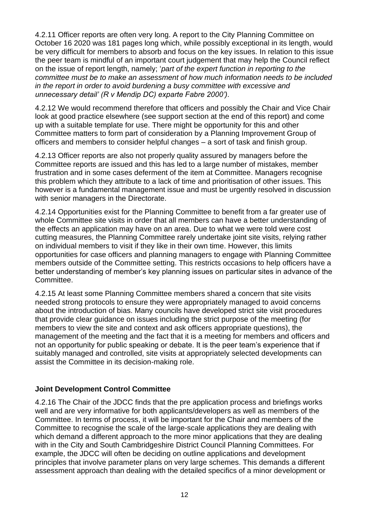4.2.11 Officer reports are often very long. A report to the City Planning Committee on October 16 2020 was 181 pages long which, while possibly exceptional in its length, would be very difficult for members to absorb and focus on the key issues. In relation to this issue the peer team is mindful of an important court judgement that may help the Council reflect on the issue of report length, namely; '*part of the expert function in reporting to the committee must be to make an assessment of how much information needs to be included in the report in order to avoid burdening a busy committee with excessive and unnecessary detail' (R v Mendip DC) exparte Fabre 2000')*.

4.2.12 We would recommend therefore that officers and possibly the Chair and Vice Chair look at good practice elsewhere (see support section at the end of this report) and come up with a suitable template for use. There might be opportunity for this and other Committee matters to form part of consideration by a Planning Improvement Group of officers and members to consider helpful changes – a sort of task and finish group.

4.2.13 Officer reports are also not properly quality assured by managers before the Committee reports are issued and this has led to a large number of mistakes, member frustration and in some cases deferment of the item at Committee. Managers recognise this problem which they attribute to a lack of time and prioritisation of other issues. This however is a fundamental management issue and must be urgently resolved in discussion with senior managers in the Directorate.

4.2.14 Opportunities exist for the Planning Committee to benefit from a far greater use of whole Committee site visits in order that all members can have a better understanding of the effects an application may have on an area. Due to what we were told were cost cutting measures, the Planning Committee rarely undertake joint site visits, relying rather on individual members to visit if they like in their own time. However, this limits opportunities for case officers and planning managers to engage with Planning Committee members outside of the Committee setting. This restricts occasions to help officers have a better understanding of member's key planning issues on particular sites in advance of the Committee.

4.2.15 At least some Planning Committee members shared a concern that site visits needed strong protocols to ensure they were appropriately managed to avoid concerns about the introduction of bias. Many councils have developed strict site visit procedures that provide clear guidance on issues including the strict purpose of the meeting (for members to view the site and context and ask officers appropriate questions), the management of the meeting and the fact that it is a meeting for members and officers and not an opportunity for public speaking or debate. It is the peer team's experience that if suitably managed and controlled, site visits at appropriately selected developments can assist the Committee in its decision-making role.

## **Joint Development Control Committee**

4.2.16 The Chair of the JDCC finds that the pre application process and briefings works well and are very informative for both applicants/developers as well as members of the Committee. In terms of process, it will be important for the Chair and members of the Committee to recognise the scale of the large-scale applications they are dealing with which demand a different approach to the more minor applications that they are dealing with in the City and South Cambridgeshire District Council Planning Committees. For example, the JDCC will often be deciding on outline applications and development principles that involve parameter plans on very large schemes. This demands a different assessment approach than dealing with the detailed specifics of a minor development or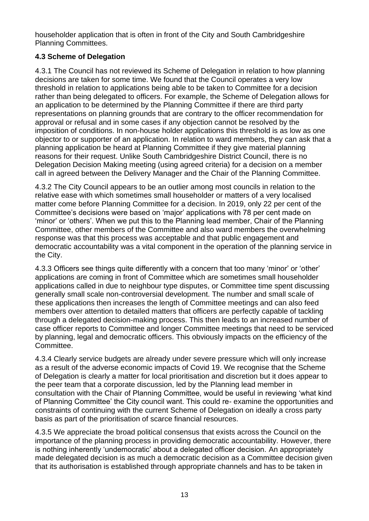householder application that is often in front of the City and South Cambridgeshire Planning Committees.

## **4.3 Scheme of Delegation**

4.3.1 The Council has not reviewed its Scheme of Delegation in relation to how planning decisions are taken for some time. We found that the Council operates a very low threshold in relation to applications being able to be taken to Committee for a decision rather than being delegated to officers. For example, the Scheme of Delegation allows for an application to be determined by the Planning Committee if there are third party representations on planning grounds that are contrary to the officer recommendation for approval or refusal and in some cases if any objection cannot be resolved by the imposition of conditions. In non-house holder applications this threshold is as low as one objector to or supporter of an application. In relation to ward members, they can ask that a planning application be heard at Planning Committee if they give material planning reasons for their request. Unlike South Cambridgeshire District Council, there is no Delegation Decision Making meeting (using agreed criteria) for a decision on a member call in agreed between the Delivery Manager and the Chair of the Planning Committee.

4.3.2 The City Council appears to be an outlier among most councils in relation to the relative ease with which sometimes small householder or matters of a very localised matter come before Planning Committee for a decision. In 2019, only 22 per cent of the Committee's decisions were based on 'major' applications with 78 per cent made on 'minor' or 'others'. When we put this to the Planning lead member, Chair of the Planning Committee, other members of the Committee and also ward members the overwhelming response was that this process was acceptable and that public engagement and democratic accountability was a vital component in the operation of the planning service in the City.

4.3.3 Officers see things quite differently with a concern that too many 'minor' or 'other' applications are coming in front of Committee which are sometimes small householder applications called in due to neighbour type disputes, or Committee time spent discussing generally small scale non-controversial development. The number and small scale of these applications then increases the length of Committee meetings and can also feed members over attention to detailed matters that officers are perfectly capable of tackling through a delegated decision-making process. This then leads to an increased number of case officer reports to Committee and longer Committee meetings that need to be serviced by planning, legal and democratic officers. This obviously impacts on the efficiency of the Committee.

4.3.4 Clearly service budgets are already under severe pressure which will only increase as a result of the adverse economic impacts of Covid 19. We recognise that the Scheme of Delegation is clearly a matter for local prioritisation and discretion but it does appear to the peer team that a corporate discussion, led by the Planning lead member in consultation with the Chair of Planning Committee, would be useful in reviewing 'what kind of Planning Committee' the City council want. This could re- examine the opportunities and constraints of continuing with the current Scheme of Delegation on ideally a cross party basis as part of the prioritisation of scarce financial resources.

4.3.5 We appreciate the broad political consensus that exists across the Council on the importance of the planning process in providing democratic accountability. However, there is nothing inherently 'undemocratic' about a delegated officer decision. An appropriately made delegated decision is as much a democratic decision as a Committee decision given that its authorisation is established through appropriate channels and has to be taken in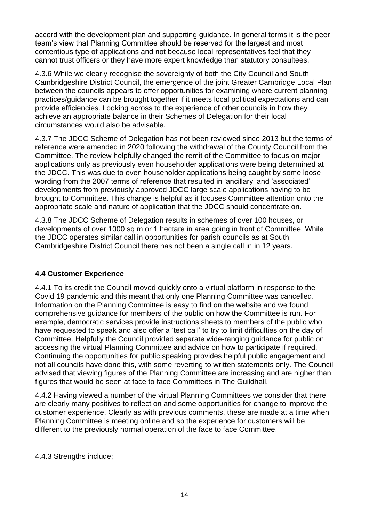accord with the development plan and supporting guidance. In general terms it is the peer team's view that Planning Committee should be reserved for the largest and most contentious type of applications and not because local representatives feel that they cannot trust officers or they have more expert knowledge than statutory consultees.

4.3.6 While we clearly recognise the sovereignty of both the City Council and South Cambridgeshire District Council, the emergence of the joint Greater Cambridge Local Plan between the councils appears to offer opportunities for examining where current planning practices/guidance can be brought together if it meets local political expectations and can provide efficiencies. Looking across to the experience of other councils in how they achieve an appropriate balance in their Schemes of Delegation for their local circumstances would also be advisable.

4.3.7 The JDCC Scheme of Delegation has not been reviewed since 2013 but the terms of reference were amended in 2020 following the withdrawal of the County Council from the Committee. The review helpfully changed the remit of the Committee to focus on major applications only as previously even householder applications were being determined at the JDCC. This was due to even householder applications being caught by some loose wording from the 2007 terms of reference that resulted in 'ancillary' and 'associated' developments from previously approved JDCC large scale applications having to be brought to Committee. This change is helpful as it focuses Committee attention onto the appropriate scale and nature of application that the JDCC should concentrate on.

4.3.8 The JDCC Scheme of Delegation results in schemes of over 100 houses, or developments of over 1000 sq m or 1 hectare in area going in front of Committee. While the JDCC operates similar call in opportunities for parish councils as at South Cambridgeshire District Council there has not been a single call in in 12 years.

## **4.4 Customer Experience**

4.4.1 To its credit the Council moved quickly onto a virtual platform in response to the Covid 19 pandemic and this meant that only one Planning Committee was cancelled. Information on the Planning Committee is easy to find on the website and we found comprehensive guidance for members of the public on how the Committee is run. For example, democratic services provide instructions sheets to members of the public who have requested to speak and also offer a 'test call' to try to limit difficulties on the day of Committee. Helpfully the Council provided separate wide-ranging guidance for public on accessing the virtual Planning Committee and advice on how to participate if required. Continuing the opportunities for public speaking provides helpful public engagement and not all councils have done this, with some reverting to written statements only. The Council advised that viewing figures of the Planning Committee are increasing and are higher than figures that would be seen at face to face Committees in The Guildhall.

4.4.2 Having viewed a number of the virtual Planning Committees we consider that there are clearly many positives to reflect on and some opportunities for change to improve the customer experience. Clearly as with previous comments, these are made at a time when Planning Committee is meeting online and so the experience for customers will be different to the previously normal operation of the face to face Committee.

4.4.3 Strengths include;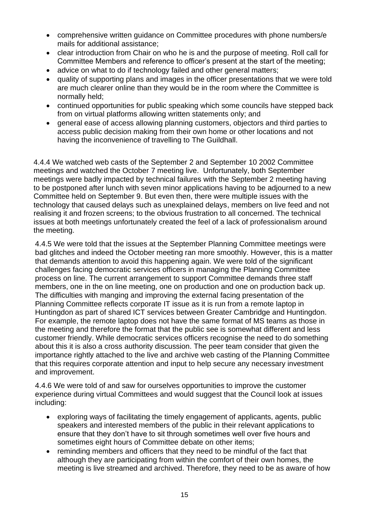- comprehensive written guidance on Committee procedures with phone numbers/e mails for additional assistance;
- clear introduction from Chair on who he is and the purpose of meeting. Roll call for Committee Members and reference to officer's present at the start of the meeting;
- advice on what to do if technology failed and other general matters;
- quality of supporting plans and images in the officer presentations that we were told are much clearer online than they would be in the room where the Committee is normally held;
- continued opportunities for public speaking which some councils have stepped back from on virtual platforms allowing written statements only; and
- general ease of access allowing planning customers, objectors and third parties to access public decision making from their own home or other locations and not having the inconvenience of travelling to The Guildhall.

4.4.4 We watched web casts of the September 2 and September 10 2002 Committee meetings and watched the October 7 meeting live. Unfortunately, both September meetings were badly impacted by technical failures with the September 2 meeting having to be postponed after lunch with seven minor applications having to be adjourned to a new Committee held on September 9. But even then, there were multiple issues with the technology that caused delays such as unexplained delays, members on live feed and not realising it and frozen screens; to the obvious frustration to all concerned. The technical issues at both meetings unfortunately created the feel of a lack of professionalism around the meeting.

4.4.5 We were told that the issues at the September Planning Committee meetings were bad glitches and indeed the October meeting ran more smoothly. However, this is a matter that demands attention to avoid this happening again. We were told of the significant challenges facing democratic services officers in managing the Planning Committee process on line. The current arrangement to support Committee demands three staff members, one in the on line meeting, one on production and one on production back up. The difficulties with manging and improving the external facing presentation of the Planning Committee reflects corporate IT issue as it is run from a remote laptop in Huntingdon as part of shared ICT services between Greater Cambridge and Huntingdon. For example, the remote laptop does not have the same format of MS teams as those in the meeting and therefore the format that the public see is somewhat different and less customer friendly. While democratic services officers recognise the need to do something about this it is also a cross authority discussion. The peer team consider that given the importance rightly attached to the live and archive web casting of the Planning Committee that this requires corporate attention and input to help secure any necessary investment and improvement.

4.4.6 We were told of and saw for ourselves opportunities to improve the customer experience during virtual Committees and would suggest that the Council look at issues including:

- exploring ways of facilitating the timely engagement of applicants, agents, public speakers and interested members of the public in their relevant applications to ensure that they don't have to sit through sometimes well over five hours and sometimes eight hours of Committee debate on other items;
- reminding members and officers that they need to be mindful of the fact that although they are participating from within the comfort of their own homes, the meeting is live streamed and archived. Therefore, they need to be as aware of how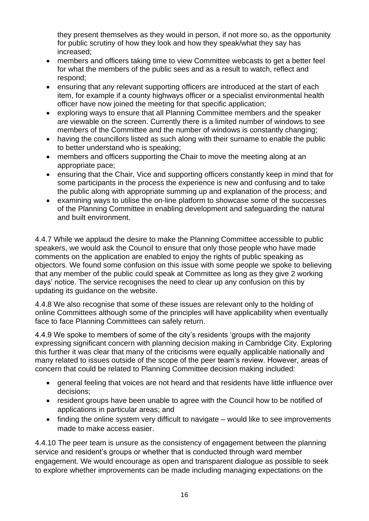they present themselves as they would in person, if not more so, as the opportunity for public scrutiny of how they look and how they speak/what they say has increased;

- members and officers taking time to view Committee webcasts to get a better feel for what the members of the public sees and as a result to watch, reflect and respond;
- ensuring that any relevant supporting officers are introduced at the start of each item, for example if a county highways officer or a specialist environmental health officer have now joined the meeting for that specific application;
- exploring ways to ensure that all Planning Committee members and the speaker are viewable on the screen. Currently there is a limited number of windows to see members of the Committee and the number of windows is constantly changing;
- having the councillors listed as such along with their surname to enable the public to better understand who is speaking;
- members and officers supporting the Chair to move the meeting along at an appropriate pace;
- ensuring that the Chair, Vice and supporting officers constantly keep in mind that for some participants in the process the experience is new and confusing and to take the public along with appropriate summing up and explanation of the process; and
- examining ways to utilise the on-line platform to showcase some of the successes of the Planning Committee in enabling development and safeguarding the natural and built environment.

4.4.7 While we applaud the desire to make the Planning Committee accessible to public speakers, we would ask the Council to ensure that only those people who have made comments on the application are enabled to enjoy the rights of public speaking as objectors. We found some confusion on this issue with some people we spoke to believing that any member of the public could speak at Committee as long as they give 2 working days' notice. The service recognises the need to clear up any confusion on this by updating its guidance on the website.

4.4.8 We also recognise that some of these issues are relevant only to the holding of online Committees although some of the principles will have applicability when eventually face to face Planning Committees can safely return.

4.4.9 We spoke to members of some of the city's residents 'groups with the majority expressing significant concern with planning decision making in Cambridge City. Exploring this further it was clear that many of the criticisms were equally applicable nationally and many related to issues outside of the scope of the peer team's review. However, areas of concern that could be related to Planning Committee decision making included:

- general feeling that voices are not heard and that residents have little influence over decisions;
- resident groups have been unable to agree with the Council how to be notified of applications in particular areas; and
- finding the online system very difficult to navigate would like to see improvements made to make access easier.

4.4.10 The peer team is unsure as the consistency of engagement between the planning service and resident's groups or whether that is conducted through ward member engagement. We would encourage as open and transparent dialogue as possible to seek to explore whether improvements can be made including managing expectations on the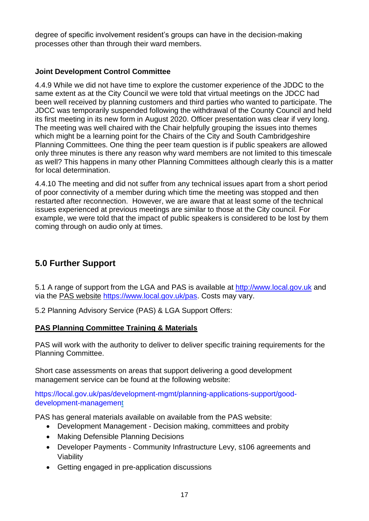degree of specific involvement resident's groups can have in the decision-making processes other than through their ward members.

## **Joint Development Control Committee**

4.4.9 While we did not have time to explore the customer experience of the JDDC to the same extent as at the City Council we were told that virtual meetings on the JDCC had been well received by planning customers and third parties who wanted to participate. The JDCC was temporarily suspended following the withdrawal of the County Council and held its first meeting in its new form in August 2020. Officer presentation was clear if very long. The meeting was well chaired with the Chair helpfully grouping the issues into themes which might be a learning point for the Chairs of the City and South Cambridgeshire Planning Committees. One thing the peer team question is if public speakers are allowed only three minutes is there any reason why ward members are not limited to this timescale as well? This happens in many other Planning Committees although clearly this is a matter for local determination.

4.4.10 The meeting and did not suffer from any technical issues apart from a short period of poor connectivity of a member during which time the meeting was stopped and then restarted after reconnection. However, we are aware that at least some of the technical issues experienced at previous meetings are similar to those at the City council. For example, we were told that the impact of public speakers is considered to be lost by them coming through on audio only at times.

# **5.0 Further Support**

5.1 A range of support from the LGA and PAS is available at [http://www.local.gov.uk](http://www.local.gov.uk/) and via the PAS [website](file:///C:/Users/Dale%20Birch/AppData/Local/Microsoft/Windows/INetCache/Content.Outlook/SRWGX9US/PAS%20website) [https://www.local.gov.uk/pas.](https://www.local.gov.uk/pas) Costs may vary.

5.2 Planning Advisory Service (PAS) & LGA Support Offers:

## **PAS Planning Committee Training & Materials**

PAS will work with the authority to deliver to deliver specific training requirements for the Planning Committee.

Short case assessments on areas that support delivering a good development management service can be found at the following website:

[https://local.gov.uk/pas/development-mgmt/planning-applications-support/good](https://local.gov.uk/pas/development-mgmt/planning-applications-support/good-development-management)[development-management](https://local.gov.uk/pas/development-mgmt/planning-applications-support/good-development-management)

PAS has general materials available on available from the PAS website:

- Development Management Decision making, committees and probity
- Making Defensible Planning Decisions
- Developer Payments Community Infrastructure Levy, s106 agreements and Viability
- Getting engaged in pre-application discussions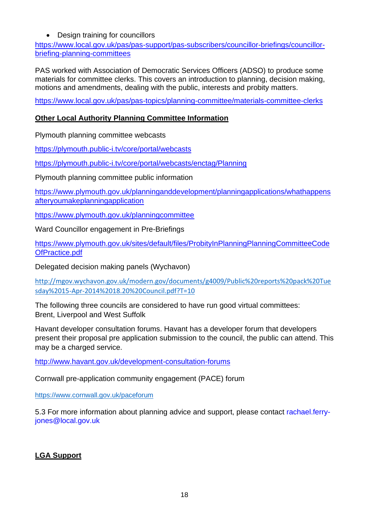## • Design training for councillors

[https://www.local.gov.uk/pas/pas-support/pas-subscribers/councillor-briefings/councillor](https://www.local.gov.uk/pas/pas-support/pas-subscribers/councillor-briefings/councillor-briefing-planning-committees)[briefing-planning-committees](https://www.local.gov.uk/pas/pas-support/pas-subscribers/councillor-briefings/councillor-briefing-planning-committees)

PAS worked with Association of Democratic Services Officers (ADSO) to produce some materials for committee clerks. This covers an introduction to planning, decision making, motions and amendments, dealing with the public, interests and probity matters.

<https://www.local.gov.uk/pas/pas-topics/planning-committee/materials-committee-clerks>

## **Other Local Authority Planning Committee Information**

Plymouth planning committee webcasts

<https://plymouth.public-i.tv/core/portal/webcasts>

<https://plymouth.public-i.tv/core/portal/webcasts/enctag/Planning>

Plymouth planning committee public information

[https://www.plymouth.gov.uk/planninganddevelopment/planningapplications/whathappens](https://www.plymouth.gov.uk/planninganddevelopment/planningapplications/whathappensafteryoumakeplanningapplication) [afteryoumakeplanningapplication](https://www.plymouth.gov.uk/planninganddevelopment/planningapplications/whathappensafteryoumakeplanningapplication)

<https://www.plymouth.gov.uk/planningcommittee>

Ward Councillor engagement in Pre-Briefings

[https://www.plymouth.gov.uk/sites/default/files/ProbityInPlanningPlanningCommitteeCode](https://www.plymouth.gov.uk/sites/default/files/ProbityInPlanningPlanningCommitteeCodeOfPractice.pdf) [OfPractice.pdf](https://www.plymouth.gov.uk/sites/default/files/ProbityInPlanningPlanningCommitteeCodeOfPractice.pdf)

Delegated decision making panels (Wychavon)

[http://mgov.wychavon.gov.uk/modern.gov/documents/g4009/Public%20reports%20pack%20Tue](http://mgov.wychavon.gov.uk/modern.gov/documents/g4009/Public%20reports%20pack%20Tuesday%2015-Apr-2014%2018.20%20Council.pdf?T=10) [sday%2015-Apr-2014%2018.20%20Council.pdf?T=10](http://mgov.wychavon.gov.uk/modern.gov/documents/g4009/Public%20reports%20pack%20Tuesday%2015-Apr-2014%2018.20%20Council.pdf?T=10)

The following three councils are considered to have run good virtual committees: Brent, Liverpool and West Suffolk

Havant developer consultation forums. Havant has a developer forum that developers present their proposal pre application submission to the council, the public can attend. This may be a charged service.

<http://www.havant.gov.uk/development-consultation-forums>

Cornwall pre-application community engagement (PACE) forum

<https://www.cornwall.gov.uk/paceforum>

5.3 For more information about planning advice and support, please contact [rachael.ferry](mailto:rachael.ferry-jones@local.gov.uk)[jones@local.gov.uk](mailto:rachael.ferry-jones@local.gov.uk)

## **LGA Support**